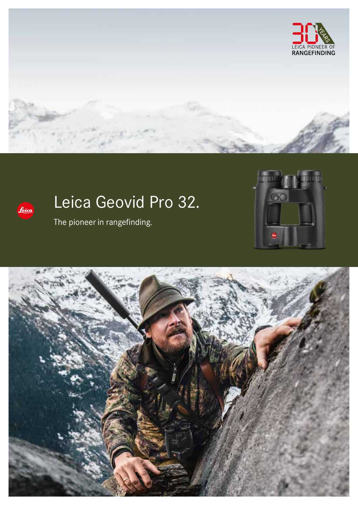



# Leica Geovid Pro 32.

The pioneer in rangefinding.



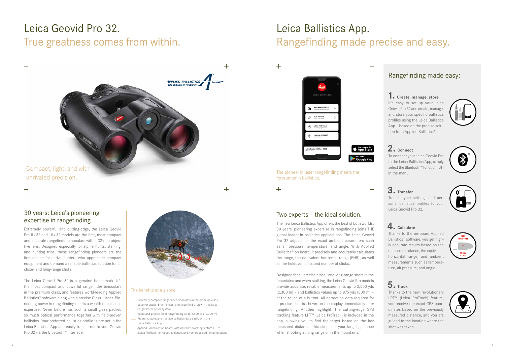# Leica Geovid Pro 32. True greatness comes from within.

# APPLIED BALLISTICS

Compact, light, and with unrivaled precision.

 $+$ 

 $+$ 

# Leica Ballistics App. Rangefinding made precise and easy.



### The benefits at a glance

- **Extremely compact rangefinder binoculars in the premium class**
- Superior optics, bright image, and large field of view thanks to Perger-Porro prism system
- Rapid and precise laser rangefinding up to 2,500 yds (2,300 m)
- Program, store, and manage ballistics data easily with the Leica Ballistics App
- **EXECUTE:** Applied Ballistics® on board: with new GPS tracking feature LPT<sup>™</sup> (Leica ProTrack) for target guidance, and numerous additional functions

The pioneer in laser rangefinding meets the forerunner in ballistics.

 **1. Create, manage, store** It's easy to set up your Leical Geovid Pro 32 and create, manage, and store your specific ballistics profiles using the Leica Ballistics App – based on the precise solution from Applied Ballistics®.

### **2. Connect**

To connect your Leica Geovid Pro to the Leica Ballistics App, simply select the Bluetooth<sup>®</sup> function (BT) in the menu.



# **3. Transfer**

Transfer your settings and personal ballistics profiles to your Leica Geovid Pro 32.

## **4. Calculate**

Thanks to the on-board Applied Ballistics® software, you get highly accurate results based on the measured distance, the equivalent horizontal range, and ambient measurements such as temperature, air pressure, and angle.

# **5. Track**

Thanks to the new, revolutionary LPT™ (Leica ProTrack) feature, you receive the exact GPS coordinates based on the previously measured distance, and you are guided to the location where the shot was taken.







### Rangefinding made easy:

The new Leica Ballistics App offers the best of both worlds: 30 years' pioneering expertise in rangefinding joins THE global leader in ballistics applications. The Leica Geovid Pro 32 adjusts for the exact ambient parameters such as air pressure, temperature, and angle. With Applied Ballistics® on board, it precisely and accurately calculates the range, the equivalent horizontal range (EHR), as well as the holdover, units and number of clicks.

Designed for all precise close- and long-range shots in the mountains and when stalking, the Leica Geovid Pro models provide accurate, reliable measurements up to 2,500 yds  $(2,300 \text{ m})$  – and ballistics values up to 875 yds  $(800 \text{ m})$  – at the touch of a button. All correction data required for a precise shot is shown on the display, immediately after rangefinding. Another highlight: The cutting-edge GPS tracking feature LPT™ (Leica ProTrack) is included in the app, allowing you to find the target based on the last measured distance. This simplifies your target guidance when shooting at long range or in the mountains.

### Two experts – the ideal solution.

Extremely powerful and cutting-edge, the Leica Geovid Pro 8 x 32 and 10 x 32 models are the first, most compact and accurate rangefinder binoculars with a 32-mm objective lens. Designed especially for alpine hunts, stalking, and hunting trips, these rangefinding pioneers are the first choice for active hunters who appreciate compact equipment and demand a reliable ballistics solution for all close- and long-range shots.

The Leica Geovid Pro 32 is a genuine benchmark. It's the most compact and powerful rangefinder binoculars in the premium class, and features world-leading Applied Ballistics® software along with a precise Class 1 laser. Pioneering power in rangefinding meets a wealth of ballistics expertise: Never before has such a small glass packed so much optical performance together with field-proven ballistics. Your preferred ballistics profile is pre-set in the Leica Ballistics App and easily transferred to your Geovid Pro 32 via the Bluetooth® interface.



### 30 years: Leica's pioneering expertise in rangefinding.